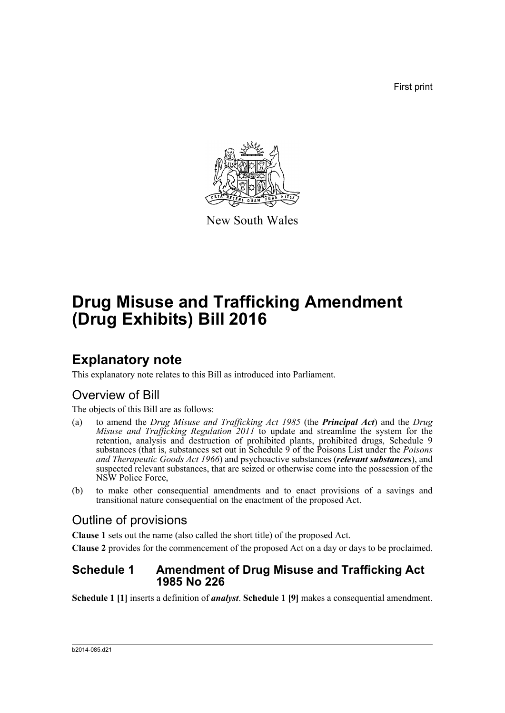First print



New South Wales

# **Drug Misuse and Trafficking Amendment (Drug Exhibits) Bill 2016**

# **Explanatory note**

This explanatory note relates to this Bill as introduced into Parliament.

# Overview of Bill

The objects of this Bill are as follows:

- (a) to amend the *Drug Misuse and Trafficking Act 1985* (the *Principal Act*) and the *Drug Misuse and Trafficking Regulation* 2011 to update and streamline the system for the retention, analysis and destruction of prohibited plants, prohibited drugs, Schedule 9 substances (that is, substances set out in Schedule 9 of the Poisons List under the *Poisons and Therapeutic Goods Act 1966*) and psychoactive substances (*relevant substances*), and suspected relevant substances, that are seized or otherwise come into the possession of the NSW Police Force,
- (b) to make other consequential amendments and to enact provisions of a savings and transitional nature consequential on the enactment of the proposed Act.

# Outline of provisions

**Clause 1** sets out the name (also called the short title) of the proposed Act.

**Clause 2** provides for the commencement of the proposed Act on a day or days to be proclaimed.

# **Schedule 1 Amendment of Drug Misuse and Trafficking Act 1985 No 226**

**Schedule 1 [1]** inserts a definition of *analyst*. **Schedule 1 [9]** makes a consequential amendment.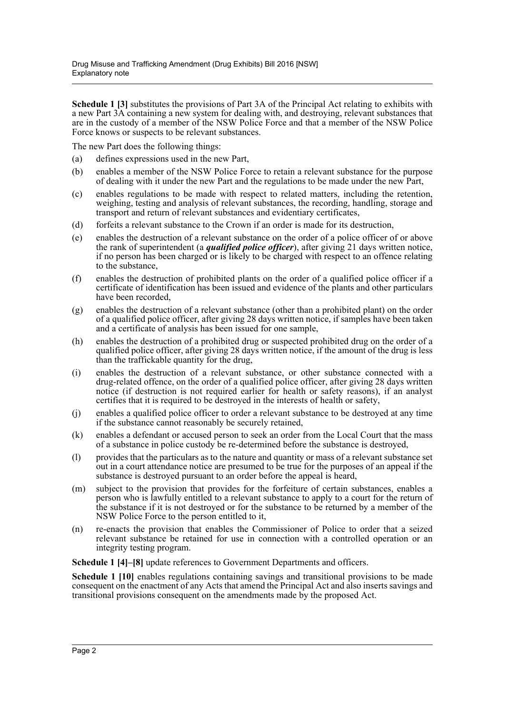**Schedule 1 [3]** substitutes the provisions of Part 3A of the Principal Act relating to exhibits with a new Part 3A containing a new system for dealing with, and destroying, relevant substances that are in the custody of a member of the NSW Police Force and that a member of the NSW Police Force knows or suspects to be relevant substances.

The new Part does the following things:

- (a) defines expressions used in the new Part,
- (b) enables a member of the NSW Police Force to retain a relevant substance for the purpose of dealing with it under the new Part and the regulations to be made under the new Part,
- (c) enables regulations to be made with respect to related matters, including the retention, weighing, testing and analysis of relevant substances, the recording, handling, storage and transport and return of relevant substances and evidentiary certificates,
- (d) forfeits a relevant substance to the Crown if an order is made for its destruction,
- (e) enables the destruction of a relevant substance on the order of a police officer of or above the rank of superintendent (a *qualified police officer*), after giving 21 days written notice, if no person has been charged or is likely to be charged with respect to an offence relating to the substance,
- (f) enables the destruction of prohibited plants on the order of a qualified police officer if a certificate of identification has been issued and evidence of the plants and other particulars have been recorded,
- (g) enables the destruction of a relevant substance (other than a prohibited plant) on the order of a qualified police officer, after giving 28 days written notice, if samples have been taken and a certificate of analysis has been issued for one sample,
- (h) enables the destruction of a prohibited drug or suspected prohibited drug on the order of a qualified police officer, after giving 28 days written notice, if the amount of the drug is less than the traffickable quantity for the drug,
- (i) enables the destruction of a relevant substance, or other substance connected with a drug-related offence, on the order of a qualified police officer, after giving 28 days written notice (if destruction is not required earlier for health or safety reasons), if an analyst certifies that it is required to be destroyed in the interests of health or safety,
- (j) enables a qualified police officer to order a relevant substance to be destroyed at any time if the substance cannot reasonably be securely retained,
- (k) enables a defendant or accused person to seek an order from the Local Court that the mass of a substance in police custody be re-determined before the substance is destroyed,
- (l) provides that the particulars as to the nature and quantity or mass of a relevant substance set out in a court attendance notice are presumed to be true for the purposes of an appeal if the substance is destroyed pursuant to an order before the appeal is heard,
- (m) subject to the provision that provides for the forfeiture of certain substances, enables a person who is lawfully entitled to a relevant substance to apply to a court for the return of the substance if it is not destroyed or for the substance to be returned by a member of the NSW Police Force to the person entitled to it,
- (n) re-enacts the provision that enables the Commissioner of Police to order that a seized relevant substance be retained for use in connection with a controlled operation or an integrity testing program.

**Schedule 1 [4]–[8]** update references to Government Departments and officers.

**Schedule 1 [10]** enables regulations containing savings and transitional provisions to be made consequent on the enactment of any Acts that amend the Principal Act and also inserts savings and transitional provisions consequent on the amendments made by the proposed Act.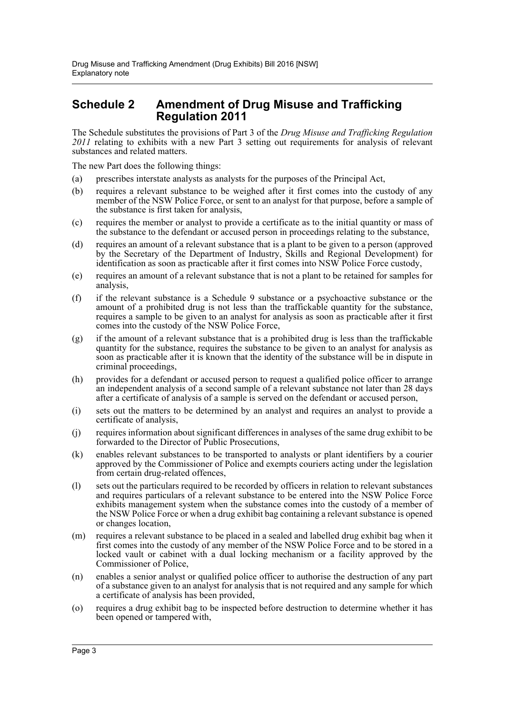# **Schedule 2 Amendment of Drug Misuse and Trafficking Regulation 2011**

The Schedule substitutes the provisions of Part 3 of the *Drug Misuse and Trafficking Regulation 2011* relating to exhibits with a new Part 3 setting out requirements for analysis of relevant substances and related matters.

The new Part does the following things:

- (a) prescribes interstate analysts as analysts for the purposes of the Principal Act,
- (b) requires a relevant substance to be weighed after it first comes into the custody of any member of the NSW Police Force, or sent to an analyst for that purpose, before a sample of the substance is first taken for analysis,
- (c) requires the member or analyst to provide a certificate as to the initial quantity or mass of the substance to the defendant or accused person in proceedings relating to the substance,
- (d) requires an amount of a relevant substance that is a plant to be given to a person (approved by the Secretary of the Department of Industry, Skills and Regional Development) for identification as soon as practicable after it first comes into NSW Police Force custody,
- (e) requires an amount of a relevant substance that is not a plant to be retained for samples for analysis,
- (f) if the relevant substance is a Schedule 9 substance or a psychoactive substance or the amount of a prohibited drug is not less than the traffickable quantity for the substance, requires a sample to be given to an analyst for analysis as soon as practicable after it first comes into the custody of the NSW Police Force,
- (g) if the amount of a relevant substance that is a prohibited drug is less than the traffickable quantity for the substance, requires the substance to be given to an analyst for analysis as soon as practicable after it is known that the identity of the substance will be in dispute in criminal proceedings,
- (h) provides for a defendant or accused person to request a qualified police officer to arrange an independent analysis of a second sample of a relevant substance not later than 28 days after a certificate of analysis of a sample is served on the defendant or accused person,
- (i) sets out the matters to be determined by an analyst and requires an analyst to provide a certificate of analysis,
- (j) requires information about significant differences in analyses of the same drug exhibit to be forwarded to the Director of Public Prosecutions,
- (k) enables relevant substances to be transported to analysts or plant identifiers by a courier approved by the Commissioner of Police and exempts couriers acting under the legislation from certain drug-related offences,
- (l) sets out the particulars required to be recorded by officers in relation to relevant substances and requires particulars of a relevant substance to be entered into the NSW Police Force exhibits management system when the substance comes into the custody of a member of the NSW Police Force or when a drug exhibit bag containing a relevant substance is opened or changes location,
- (m) requires a relevant substance to be placed in a sealed and labelled drug exhibit bag when it first comes into the custody of any member of the NSW Police Force and to be stored in a locked vault or cabinet with a dual locking mechanism or a facility approved by the Commissioner of Police,
- (n) enables a senior analyst or qualified police officer to authorise the destruction of any part of a substance given to an analyst for analysis that is not required and any sample for which a certificate of analysis has been provided,
- (o) requires a drug exhibit bag to be inspected before destruction to determine whether it has been opened or tampered with,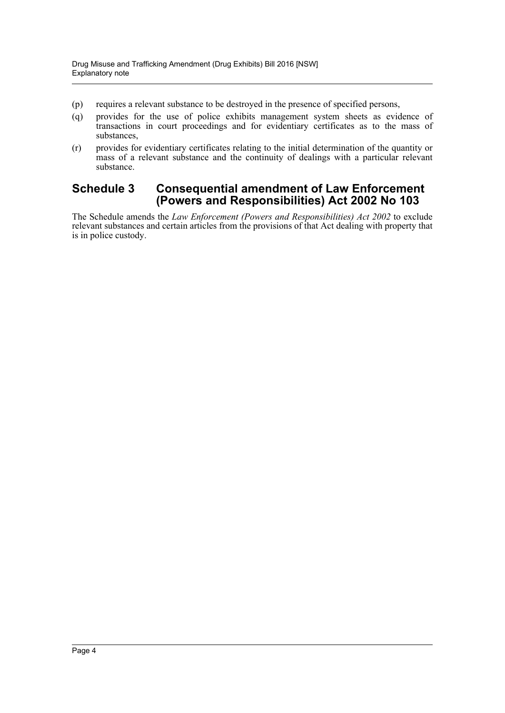- (p) requires a relevant substance to be destroyed in the presence of specified persons,
- (q) provides for the use of police exhibits management system sheets as evidence of transactions in court proceedings and for evidentiary certificates as to the mass of substances,
- (r) provides for evidentiary certificates relating to the initial determination of the quantity or mass of a relevant substance and the continuity of dealings with a particular relevant substance.

# **Schedule 3 Consequential amendment of Law Enforcement (Powers and Responsibilities) Act 2002 No 103**

The Schedule amends the *Law Enforcement (Powers and Responsibilities) Act 2002* to exclude relevant substances and certain articles from the provisions of that Act dealing with property that is in police custody.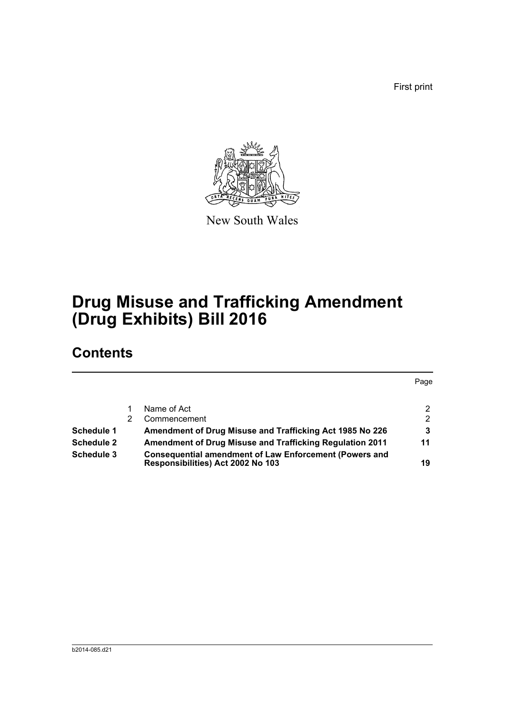First print



New South Wales

# **Drug Misuse and Trafficking Amendment (Drug Exhibits) Bill 2016**

# **Contents**

|                   |                                                                                                    | Page                 |
|-------------------|----------------------------------------------------------------------------------------------------|----------------------|
|                   | Name of Act                                                                                        | $\mathbf{2}^{\circ}$ |
|                   | Commencement                                                                                       | $\mathcal{P}$        |
| Schedule 1        | Amendment of Drug Misuse and Trafficking Act 1985 No 226                                           | 3                    |
| <b>Schedule 2</b> | <b>Amendment of Drug Misuse and Trafficking Regulation 2011</b>                                    | 11                   |
| Schedule 3        | <b>Consequential amendment of Law Enforcement (Powers and</b><br>Responsibilities) Act 2002 No 103 | 19                   |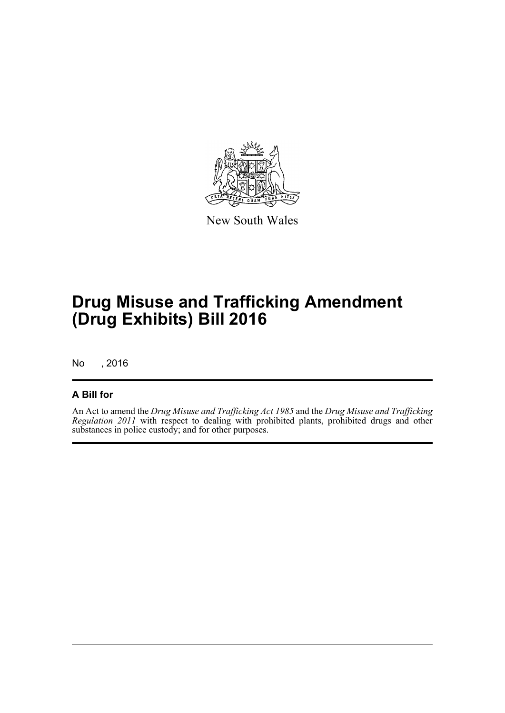

New South Wales

# **Drug Misuse and Trafficking Amendment (Drug Exhibits) Bill 2016**

No , 2016

# **A Bill for**

An Act to amend the *Drug Misuse and Trafficking Act 1985* and the *Drug Misuse and Trafficking Regulation 2011* with respect to dealing with prohibited plants, prohibited drugs and other substances in police custody; and for other purposes.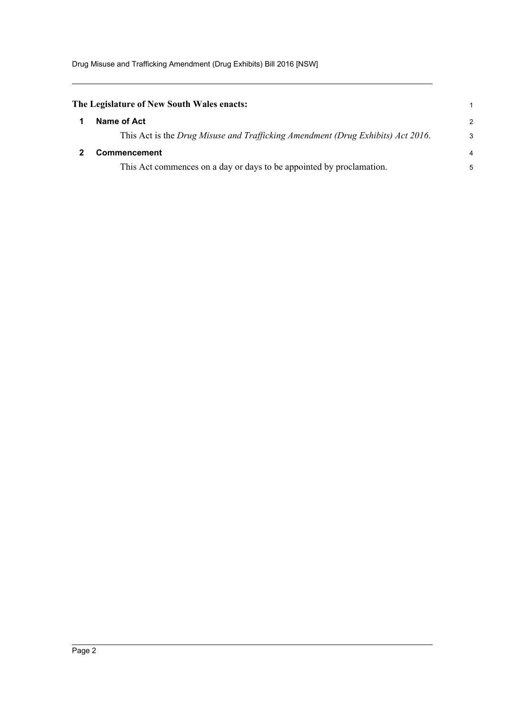<span id="page-6-1"></span><span id="page-6-0"></span>

| The Legislature of New South Wales enacts: |                                                                                 |                |  |
|--------------------------------------------|---------------------------------------------------------------------------------|----------------|--|
|                                            | Name of Act                                                                     | $\mathcal{P}$  |  |
|                                            | This Act is the Drug Misuse and Trafficking Amendment (Drug Exhibits) Act 2016. | 3              |  |
|                                            | <b>Commencement</b>                                                             | $\overline{4}$ |  |
|                                            | This Act commences on a day or days to be appointed by proclamation.            | 5              |  |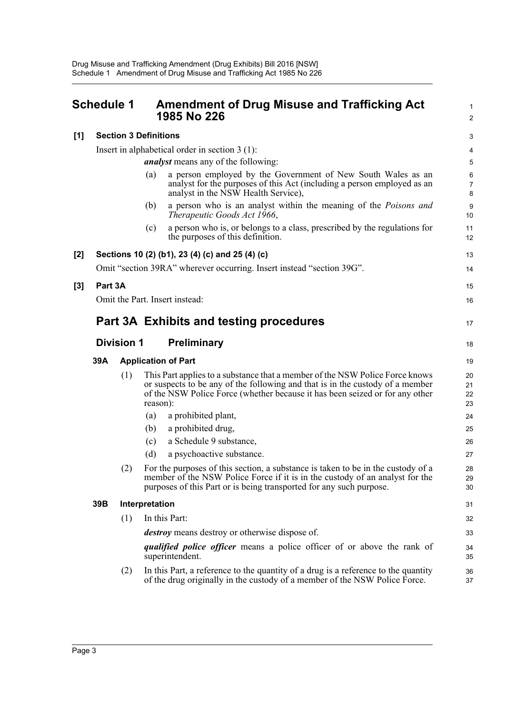<span id="page-7-0"></span>

|     | Schedule 1 |                   | <b>Amendment of Drug Misuse and Trafficking Act</b><br>1985 No 226                                                                                                                                                                                        | $\mathbf{1}$<br>2        |
|-----|------------|-------------------|-----------------------------------------------------------------------------------------------------------------------------------------------------------------------------------------------------------------------------------------------------------|--------------------------|
| [1] |            |                   | <b>Section 3 Definitions</b>                                                                                                                                                                                                                              | 3                        |
|     |            |                   | Insert in alphabetical order in section $3(1)$ :                                                                                                                                                                                                          | 4                        |
|     |            |                   | <i>analyst</i> means any of the following:                                                                                                                                                                                                                | 5                        |
|     |            |                   | a person employed by the Government of New South Wales as an<br>(a)<br>analyst for the purposes of this Act (including a person employed as an<br>analyst in the NSW Health Service),                                                                     | 6<br>$\overline{7}$<br>8 |
|     |            |                   | a person who is an analyst within the meaning of the <i>Poisons and</i><br>(b)<br>Therapeutic Goods Act 1966,                                                                                                                                             | 9<br>10                  |
|     |            |                   | a person who is, or belongs to a class, prescribed by the regulations for<br>(c)<br>the purposes of this definition.                                                                                                                                      | 11<br>12                 |
| [2] |            |                   | Sections 10 (2) (b1), 23 (4) (c) and 25 (4) (c)                                                                                                                                                                                                           | 13                       |
|     |            |                   | Omit "section 39RA" wherever occurring. Insert instead "section 39G".                                                                                                                                                                                     | 14                       |
| [3] | Part 3A    |                   |                                                                                                                                                                                                                                                           | 15                       |
|     |            |                   | Omit the Part. Insert instead:                                                                                                                                                                                                                            | 16                       |
|     |            |                   | <b>Part 3A Exhibits and testing procedures</b>                                                                                                                                                                                                            | 17                       |
|     |            | <b>Division 1</b> | <b>Preliminary</b>                                                                                                                                                                                                                                        | 18                       |
|     | 39A        |                   | <b>Application of Part</b>                                                                                                                                                                                                                                | 19                       |
|     |            | (1)               | This Part applies to a substance that a member of the NSW Police Force knows<br>or suspects to be any of the following and that is in the custody of a member<br>of the NSW Police Force (whether because it has been seized or for any other<br>reason): | 20<br>21<br>22<br>23     |
|     |            |                   | a prohibited plant,<br>(a)                                                                                                                                                                                                                                | 24                       |
|     |            |                   | a prohibited drug,<br>(b)                                                                                                                                                                                                                                 | 25                       |
|     |            |                   | a Schedule 9 substance,<br>(c)                                                                                                                                                                                                                            | 26                       |
|     |            |                   | (d)<br>a psychoactive substance.                                                                                                                                                                                                                          | 27                       |
|     |            | (2)               | For the purposes of this section, a substance is taken to be in the custody of a<br>member of the NSW Police Force if it is in the custody of an analyst for the<br>purposes of this Part or is being transported for any such purpose.                   | 28<br>29<br>30           |
|     | 39B        |                   | Interpretation                                                                                                                                                                                                                                            | 31                       |
|     |            | (1)               | In this Part:                                                                                                                                                                                                                                             | 32                       |
|     |            |                   | <i>destroy</i> means destroy or otherwise dispose of.                                                                                                                                                                                                     | 33                       |
|     |            |                   | <i>qualified police officer</i> means a police officer of or above the rank of<br>superintendent.                                                                                                                                                         | 34<br>35                 |
|     |            | (2)               | In this Part, a reference to the quantity of a drug is a reference to the quantity<br>of the drug originally in the custody of a member of the NSW Police Force.                                                                                          | 36<br>37                 |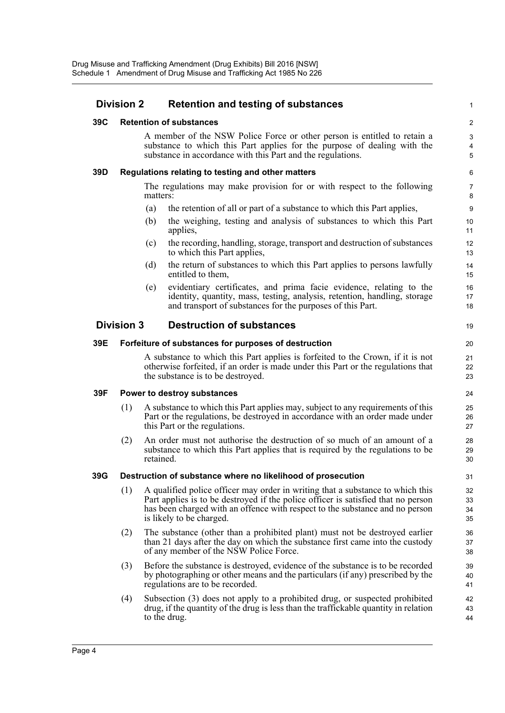| <b>Division 2</b> |                   | <b>Retention and testing of substances</b>                                                                                                                                                                                                                                      | $\mathbf{1}$                                   |
|-------------------|-------------------|---------------------------------------------------------------------------------------------------------------------------------------------------------------------------------------------------------------------------------------------------------------------------------|------------------------------------------------|
| 39C               |                   | <b>Retention of substances</b>                                                                                                                                                                                                                                                  | $\overline{c}$                                 |
|                   |                   | A member of the NSW Police Force or other person is entitled to retain a<br>substance to which this Part applies for the purpose of dealing with the<br>substance in accordance with this Part and the regulations.                                                             | 3<br>$\overline{\mathbf{4}}$<br>$\overline{5}$ |
| 39D               |                   | Regulations relating to testing and other matters                                                                                                                                                                                                                               | 6                                              |
|                   |                   | The regulations may make provision for or with respect to the following<br>matters:                                                                                                                                                                                             | $\overline{7}$<br>8                            |
|                   |                   | the retention of all or part of a substance to which this Part applies,<br>(a)                                                                                                                                                                                                  | $\boldsymbol{9}$                               |
|                   |                   | the weighing, testing and analysis of substances to which this Part<br>(b)<br>applies,                                                                                                                                                                                          | 10<br>11                                       |
|                   |                   | the recording, handling, storage, transport and destruction of substances<br>(c)<br>to which this Part applies,                                                                                                                                                                 | 12<br>13                                       |
|                   |                   | the return of substances to which this Part applies to persons lawfully<br>(d)<br>entitled to them,                                                                                                                                                                             | 14<br>15                                       |
|                   |                   | evidentiary certificates, and prima facie evidence, relating to the<br>(e)<br>identity, quantity, mass, testing, analysis, retention, handling, storage<br>and transport of substances for the purposes of this Part.                                                           | 16<br>17<br>18                                 |
|                   | <b>Division 3</b> | <b>Destruction of substances</b>                                                                                                                                                                                                                                                | 19                                             |
| 39E               |                   | Forfeiture of substances for purposes of destruction                                                                                                                                                                                                                            | 20                                             |
|                   |                   | A substance to which this Part applies is forfeited to the Crown, if it is not<br>otherwise forfeited, if an order is made under this Part or the regulations that<br>the substance is to be destroyed.                                                                         | 21<br>22<br>23                                 |
| 39F               |                   | Power to destroy substances                                                                                                                                                                                                                                                     | 24                                             |
|                   | (1)               | A substance to which this Part applies may, subject to any requirements of this<br>Part or the regulations, be destroyed in accordance with an order made under<br>this Part or the regulations.                                                                                | 25<br>26<br>27                                 |
|                   | (2)               | An order must not authorise the destruction of so much of an amount of a<br>substance to which this Part applies that is required by the regulations to be<br>retained.                                                                                                         | 28<br>29<br>30                                 |
| 39G               |                   | Destruction of substance where no likelihood of prosecution                                                                                                                                                                                                                     | 31                                             |
|                   | (1)               | A qualified police officer may order in writing that a substance to which this<br>Part applies is to be destroyed if the police officer is satisfied that no person<br>has been charged with an offence with respect to the substance and no person<br>is likely to be charged. | 32<br>33<br>34<br>35                           |
|                   | (2)               | The substance (other than a prohibited plant) must not be destroyed earlier<br>than 21 days after the day on which the substance first came into the custody<br>of any member of the NSW Police Force.                                                                          | 36<br>37<br>38                                 |
|                   | (3)               | Before the substance is destroyed, evidence of the substance is to be recorded<br>by photographing or other means and the particulars (if any) prescribed by the<br>regulations are to be recorded.                                                                             | 39<br>40<br>41                                 |
|                   | (4)               | Subsection (3) does not apply to a prohibited drug, or suspected prohibited<br>drug, if the quantity of the drug is less than the traffickable quantity in relation<br>to the drug.                                                                                             | 42<br>43<br>44                                 |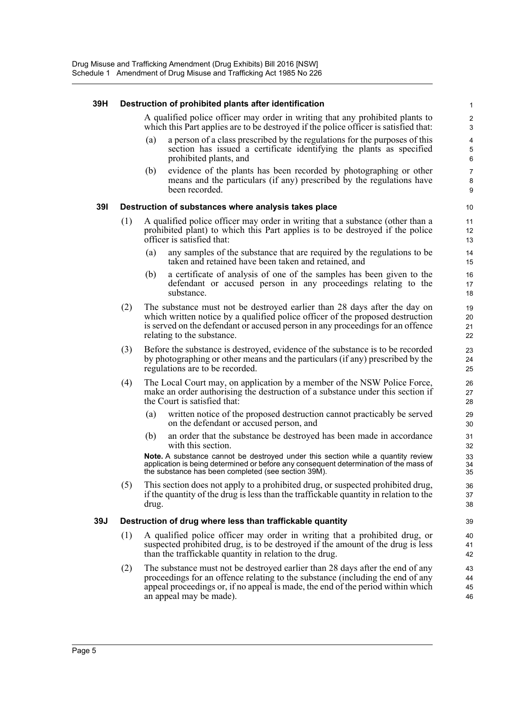#### **39H Destruction of prohibited plants after identification**

A qualified police officer may order in writing that any prohibited plants to which this Part applies are to be destroyed if the police officer is satisfied that:

- (a) a person of a class prescribed by the regulations for the purposes of this section has issued a certificate identifying the plants as specified prohibited plants, and
- (b) evidence of the plants has been recorded by photographing or other means and the particulars (if any) prescribed by the regulations have been recorded.

#### **39I Destruction of substances where analysis takes place**

- (1) A qualified police officer may order in writing that a substance (other than a prohibited plant) to which this Part applies is to be destroyed if the police officer is satisfied that:
	- (a) any samples of the substance that are required by the regulations to be taken and retained have been taken and retained, and
	- (b) a certificate of analysis of one of the samples has been given to the defendant or accused person in any proceedings relating to the substance.
- (2) The substance must not be destroyed earlier than 28 days after the day on which written notice by a qualified police officer of the proposed destruction is served on the defendant or accused person in any proceedings for an offence relating to the substance.
- (3) Before the substance is destroyed, evidence of the substance is to be recorded by photographing or other means and the particulars (if any) prescribed by the regulations are to be recorded.
- (4) The Local Court may, on application by a member of the NSW Police Force, make an order authorising the destruction of a substance under this section if the Court is satisfied that:
	- (a) written notice of the proposed destruction cannot practicably be served on the defendant or accused person, and
	- (b) an order that the substance be destroyed has been made in accordance with this section.

**Note.** A substance cannot be destroyed under this section while a quantity review application is being determined or before any consequent determination of the mass of the substance has been completed (see section 39M).

(5) This section does not apply to a prohibited drug, or suspected prohibited drug, if the quantity of the drug is less than the traffickable quantity in relation to the drug.

#### **39J Destruction of drug where less than traffickable quantity**

- (1) A qualified police officer may order in writing that a prohibited drug, or suspected prohibited drug, is to be destroyed if the amount of the drug is less than the traffickable quantity in relation to the drug.
- (2) The substance must not be destroyed earlier than 28 days after the end of any proceedings for an offence relating to the substance (including the end of any appeal proceedings or, if no appeal is made, the end of the period within which an appeal may be made).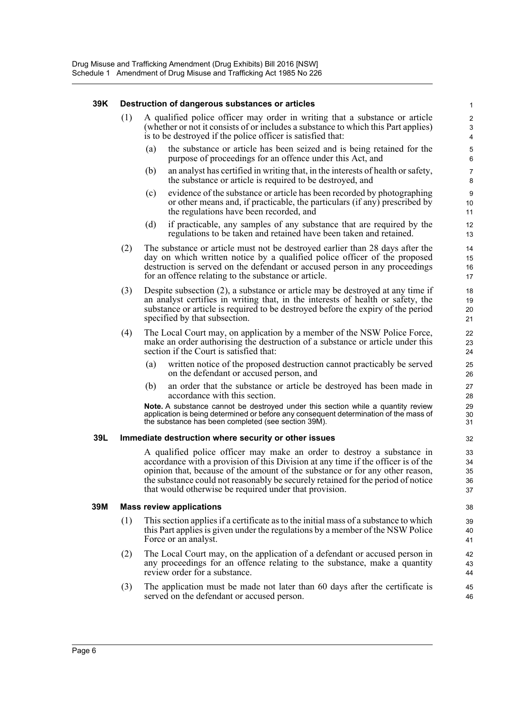#### **39K Destruction of dangerous substances or articles**

- (1) A qualified police officer may order in writing that a substance or article (whether or not it consists of or includes a substance to which this Part applies) is to be destroyed if the police officer is satisfied that:
	- (a) the substance or article has been seized and is being retained for the purpose of proceedings for an offence under this Act, and

- (b) an analyst has certified in writing that, in the interests of health or safety, the substance or article is required to be destroyed, and
- (c) evidence of the substance or article has been recorded by photographing or other means and, if practicable, the particulars (if any) prescribed by the regulations have been recorded, and
- (d) if practicable, any samples of any substance that are required by the regulations to be taken and retained have been taken and retained.
- (2) The substance or article must not be destroyed earlier than 28 days after the day on which written notice by a qualified police officer of the proposed destruction is served on the defendant or accused person in any proceedings for an offence relating to the substance or article.
- (3) Despite subsection (2), a substance or article may be destroyed at any time if an analyst certifies in writing that, in the interests of health or safety, the substance or article is required to be destroyed before the expiry of the period specified by that subsection.
- (4) The Local Court may, on application by a member of the NSW Police Force, make an order authorising the destruction of a substance or article under this section if the Court is satisfied that:
	- (a) written notice of the proposed destruction cannot practicably be served on the defendant or accused person, and
	- (b) an order that the substance or article be destroyed has been made in accordance with this section.

**Note.** A substance cannot be destroyed under this section while a quantity review application is being determined or before any consequent determination of the mass of the substance has been completed (see section 39M).

#### **39L Immediate destruction where security or other issues**

A qualified police officer may make an order to destroy a substance in accordance with a provision of this Division at any time if the officer is of the opinion that, because of the amount of the substance or for any other reason, the substance could not reasonably be securely retained for the period of notice that would otherwise be required under that provision.

#### **39M Mass review applications**

- (1) This section applies if a certificate as to the initial mass of a substance to which this Part applies is given under the regulations by a member of the NSW Police Force or an analyst.
- (2) The Local Court may, on the application of a defendant or accused person in any proceedings for an offence relating to the substance, make a quantity review order for a substance.
- (3) The application must be made not later than 60 days after the certificate is served on the defendant or accused person.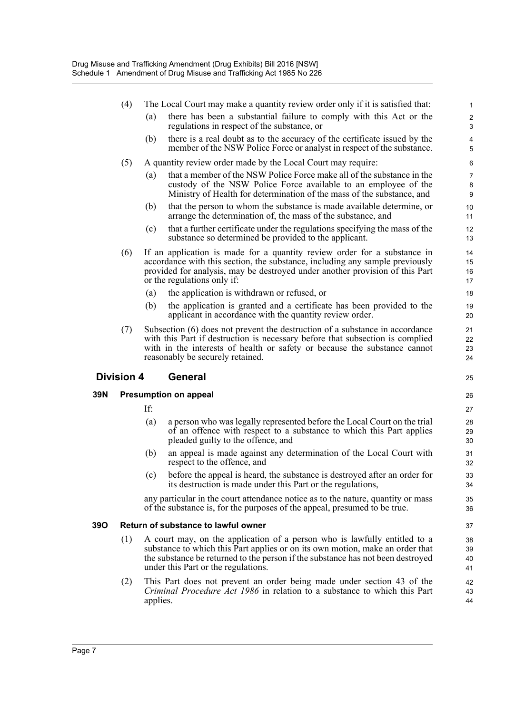|     | (4)               |     | The Local Court may make a quantity review order only if it is satisfied that:                                                                                                                                                                                                       | 1                       |
|-----|-------------------|-----|--------------------------------------------------------------------------------------------------------------------------------------------------------------------------------------------------------------------------------------------------------------------------------------|-------------------------|
|     |                   | (a) | there has been a substantial failure to comply with this Act or the<br>regulations in respect of the substance, or                                                                                                                                                                   | $\mathbf{2}$<br>3       |
|     |                   | (b) | there is a real doubt as to the accuracy of the certificate issued by the<br>member of the NSW Police Force or analyst in respect of the substance.                                                                                                                                  | 4<br>5                  |
|     | (5)               |     | A quantity review order made by the Local Court may require:                                                                                                                                                                                                                         | 6                       |
|     |                   | (a) | that a member of the NSW Police Force make all of the substance in the<br>custody of the NSW Police Force available to an employee of the<br>Ministry of Health for determination of the mass of the substance, and                                                                  | 7<br>8<br>9             |
|     |                   | (b) | that the person to whom the substance is made available determine, or<br>arrange the determination of, the mass of the substance, and                                                                                                                                                | 10<br>11                |
|     |                   | (c) | that a further certificate under the regulations specifying the mass of the<br>substance so determined be provided to the applicant.                                                                                                                                                 | $12 \overline{ }$<br>13 |
|     | (6)               |     | If an application is made for a quantity review order for a substance in<br>accordance with this section, the substance, including any sample previously<br>provided for analysis, may be destroyed under another provision of this Part<br>or the regulations only if:              | 14<br>15<br>16<br>17    |
|     |                   | (a) | the application is withdrawn or refused, or                                                                                                                                                                                                                                          | 18                      |
|     |                   | (b) | the application is granted and a certificate has been provided to the<br>applicant in accordance with the quantity review order.                                                                                                                                                     | 19<br>20                |
|     | (7)               |     | Subsection (6) does not prevent the destruction of a substance in accordance<br>with this Part if destruction is necessary before that subsection is complied<br>with in the interests of health or safety or because the substance cannot<br>reasonably be securely retained.       | 21<br>22<br>23          |
|     |                   |     |                                                                                                                                                                                                                                                                                      | 24                      |
|     | <b>Division 4</b> |     | <b>General</b>                                                                                                                                                                                                                                                                       | 25                      |
| 39N |                   |     | <b>Presumption on appeal</b>                                                                                                                                                                                                                                                         | 26                      |
|     |                   | If: |                                                                                                                                                                                                                                                                                      | 27                      |
|     |                   | (a) | a person who was legally represented before the Local Court on the trial<br>of an offence with respect to a substance to which this Part applies<br>pleaded guilty to the offence, and                                                                                               | 28<br>29<br>30          |
|     |                   | (b) | an appeal is made against any determination of the Local Court with<br>respect to the offence, and                                                                                                                                                                                   | 31<br>32                |
|     |                   | (c) | before the appeal is heard, the substance is destroyed after an order for<br>its destruction is made under this Part or the regulations,                                                                                                                                             | 33<br>34                |
|     |                   |     | any particular in the court attendance notice as to the nature, quantity or mass<br>of the substance is, for the purposes of the appeal, presumed to be true.                                                                                                                        | 35<br>36                |
| 390 |                   |     | Return of substance to lawful owner                                                                                                                                                                                                                                                  | 37                      |
|     | (1)               |     | A court may, on the application of a person who is lawfully entitled to a<br>substance to which this Part applies or on its own motion, make an order that<br>the substance be returned to the person if the substance has not been destroyed<br>under this Part or the regulations. | 38<br>39<br>40<br>41    |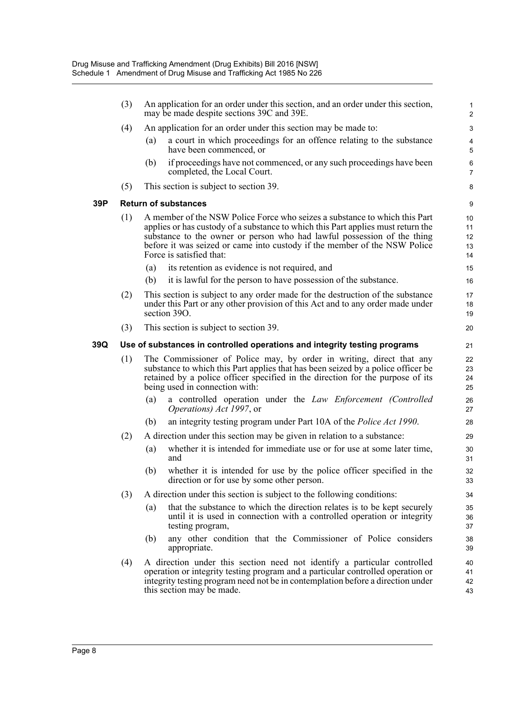|     | (3) |     | An application for an order under this section, and an order under this section,<br>may be made despite sections 39C and 39E.                                                                                                                                                                                                                      | $\mathbf{1}$<br>$\overline{\mathbf{c}}$ |
|-----|-----|-----|----------------------------------------------------------------------------------------------------------------------------------------------------------------------------------------------------------------------------------------------------------------------------------------------------------------------------------------------------|-----------------------------------------|
|     | (4) |     | An application for an order under this section may be made to:                                                                                                                                                                                                                                                                                     | 3                                       |
|     |     | (a) | a court in which proceedings for an offence relating to the substance<br>have been commenced, or                                                                                                                                                                                                                                                   | 4<br>5                                  |
|     |     | (b) | if proceedings have not commenced, or any such proceedings have been<br>completed, the Local Court.                                                                                                                                                                                                                                                | 6<br>$\overline{7}$                     |
|     | (5) |     | This section is subject to section 39.                                                                                                                                                                                                                                                                                                             | 8                                       |
| 39P |     |     | <b>Return of substances</b>                                                                                                                                                                                                                                                                                                                        | 9                                       |
|     | (1) |     | A member of the NSW Police Force who seizes a substance to which this Part<br>applies or has custody of a substance to which this Part applies must return the<br>substance to the owner or person who had lawful possession of the thing<br>before it was seized or came into custody if the member of the NSW Police<br>Force is satisfied that: | 10<br>11<br>12<br>13<br>14              |
|     |     | (a) | its retention as evidence is not required, and                                                                                                                                                                                                                                                                                                     | 15                                      |
|     |     | (b) | it is lawful for the person to have possession of the substance.                                                                                                                                                                                                                                                                                   | 16                                      |
|     | (2) |     | This section is subject to any order made for the destruction of the substance<br>under this Part or any other provision of this Act and to any order made under<br>section 390.                                                                                                                                                                   | 17<br>18<br>19                          |
|     | (3) |     | This section is subject to section 39.                                                                                                                                                                                                                                                                                                             | 20                                      |
| 39Q |     |     | Use of substances in controlled operations and integrity testing programs                                                                                                                                                                                                                                                                          | 21                                      |
|     | (1) |     | The Commissioner of Police may, by order in writing, direct that any<br>substance to which this Part applies that has been seized by a police officer be<br>retained by a police officer specified in the direction for the purpose of its<br>being used in connection with:                                                                       | 22<br>23<br>24<br>25                    |
|     |     | (a) | a controlled operation under the Law Enforcement (Controlled<br>Operations) Act 1997, or                                                                                                                                                                                                                                                           | 26<br>27                                |
|     |     | (b) | an integrity testing program under Part 10A of the <i>Police Act 1990</i> .                                                                                                                                                                                                                                                                        | 28                                      |
|     | (2) |     | A direction under this section may be given in relation to a substance:                                                                                                                                                                                                                                                                            | 29                                      |
|     |     | (a) | whether it is intended for immediate use or for use at some later time,<br>and                                                                                                                                                                                                                                                                     | 30<br>31                                |
|     |     | (b) | whether it is intended for use by the police officer specified in the<br>direction or for use by some other person.                                                                                                                                                                                                                                | 32<br>33                                |
|     | (3) |     | A direction under this section is subject to the following conditions:                                                                                                                                                                                                                                                                             | 34                                      |
|     |     | (a) | that the substance to which the direction relates is to be kept securely<br>until it is used in connection with a controlled operation or integrity<br>testing program,                                                                                                                                                                            | 35<br>36<br>37                          |
|     |     | (b) | any other condition that the Commissioner of Police considers<br>appropriate.                                                                                                                                                                                                                                                                      | 38<br>39                                |
|     | (4) |     | A direction under this section need not identify a particular controlled<br>operation or integrity testing program and a particular controlled operation or<br>integrity testing program need not be in contemplation before a direction under<br>this section may be made.                                                                        | 40<br>41<br>42<br>43                    |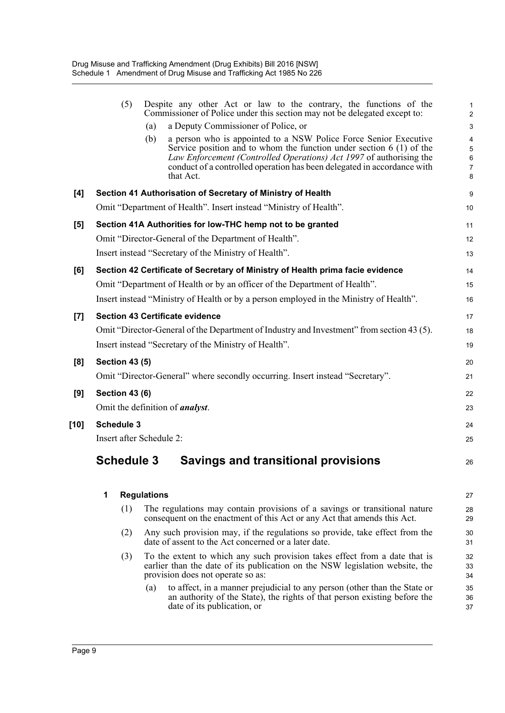|      |   | (5)                   |                          | Despite any other Act or law to the contrary, the functions of the<br>Commissioner of Police under this section may not be delegated except to:                                                 | $\mathbf{1}$<br>$\overline{2}$ |
|------|---|-----------------------|--------------------------|-------------------------------------------------------------------------------------------------------------------------------------------------------------------------------------------------|--------------------------------|
|      |   |                       | (a)                      | a Deputy Commissioner of Police, or                                                                                                                                                             | $\mathsf 3$                    |
|      |   |                       | (b)                      | a person who is appointed to a NSW Police Force Senior Executive                                                                                                                                | $\overline{\mathbf{4}}$        |
|      |   |                       |                          | Service position and to whom the function under section $6(1)$ of the<br>Law Enforcement (Controlled Operations) Act 1997 of authorising the                                                    | 5<br>$\,6\,$                   |
|      |   |                       |                          | conduct of a controlled operation has been delegated in accordance with                                                                                                                         | $\overline{7}$                 |
|      |   |                       |                          | that Act.                                                                                                                                                                                       | 8                              |
| [4]  |   |                       |                          | Section 41 Authorisation of Secretary of Ministry of Health                                                                                                                                     | 9                              |
|      |   |                       |                          | Omit "Department of Health". Insert instead "Ministry of Health".                                                                                                                               | 10                             |
| [5]  |   |                       |                          | Section 41A Authorities for low-THC hemp not to be granted                                                                                                                                      | 11                             |
|      |   |                       |                          | Omit "Director-General of the Department of Health".                                                                                                                                            | 12                             |
|      |   |                       |                          | Insert instead "Secretary of the Ministry of Health".                                                                                                                                           | 13                             |
| [6]  |   |                       |                          | Section 42 Certificate of Secretary of Ministry of Health prima facie evidence                                                                                                                  | 14                             |
|      |   |                       |                          | Omit "Department of Health or by an officer of the Department of Health".                                                                                                                       | 15                             |
|      |   |                       |                          | Insert instead "Ministry of Health or by a person employed in the Ministry of Health".                                                                                                          | 16                             |
| [7]  |   |                       |                          | <b>Section 43 Certificate evidence</b>                                                                                                                                                          | 17                             |
|      |   |                       |                          | Omit "Director-General of the Department of Industry and Investment" from section 43 (5).                                                                                                       | 18                             |
|      |   |                       |                          | Insert instead "Secretary of the Ministry of Health".                                                                                                                                           | 19                             |
| [8]  |   | <b>Section 43 (5)</b> |                          |                                                                                                                                                                                                 | 20                             |
|      |   |                       |                          | Omit "Director-General" where secondly occurring. Insert instead "Secretary".                                                                                                                   | 21                             |
| [9]  |   | <b>Section 43 (6)</b> |                          |                                                                                                                                                                                                 | 22                             |
|      |   |                       |                          | Omit the definition of <i>analyst</i> .                                                                                                                                                         | 23                             |
| [10] |   | <b>Schedule 3</b>     |                          |                                                                                                                                                                                                 | 24                             |
|      |   |                       | Insert after Schedule 2: |                                                                                                                                                                                                 | 25                             |
|      |   | <b>Schedule 3</b>     |                          | <b>Savings and transitional provisions</b>                                                                                                                                                      | 26                             |
|      | 1 |                       | <b>Regulations</b>       |                                                                                                                                                                                                 | 27                             |
|      |   | (1)                   |                          | The regulations may contain provisions of a savings or transitional nature                                                                                                                      | 28                             |
|      |   |                       |                          | consequent on the enactment of this Act or any Act that amends this Act.                                                                                                                        | 29                             |
|      |   | (2)                   |                          | Any such provision may, if the regulations so provide, take effect from the<br>date of assent to the Act concerned or a later date.                                                             | 30<br>31                       |
|      |   | (3)                   |                          | To the extent to which any such provision takes effect from a date that is<br>earlier than the date of its publication on the NSW legislation website, the<br>provision does not operate so as: | 32<br>33<br>34                 |
|      |   |                       | (a)                      | to affect, in a manner prejudicial to any person (other than the State or<br>an authority of the State), the rights of that person existing before the<br>date of its publication, or           | 35<br>36<br>37                 |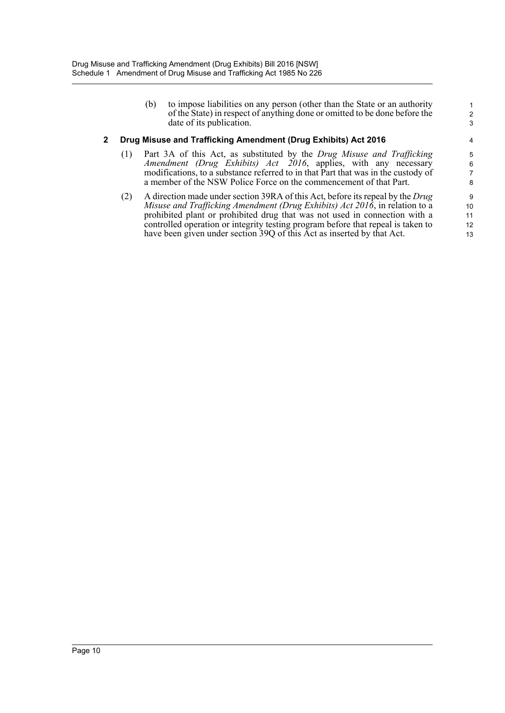(b) to impose liabilities on any person (other than the State or an authority of the State) in respect of anything done or omitted to be done before the date of its publication.

## **2 Drug Misuse and Trafficking Amendment (Drug Exhibits) Act 2016**

- (1) Part 3A of this Act, as substituted by the *Drug Misuse and Trafficking Amendment (Drug Exhibits) Act 2016*, applies, with any necessary modifications, to a substance referred to in that Part that was in the custody of a member of the NSW Police Force on the commencement of that Part.
- (2) A direction made under section 39RA of this Act, before its repeal by the *Drug Misuse and Trafficking Amendment (Drug Exhibits) Act 2016*, in relation to a prohibited plant or prohibited drug that was not used in connection with a controlled operation or integrity testing program before that repeal is taken to have been given under section 39Q of this Act as inserted by that Act.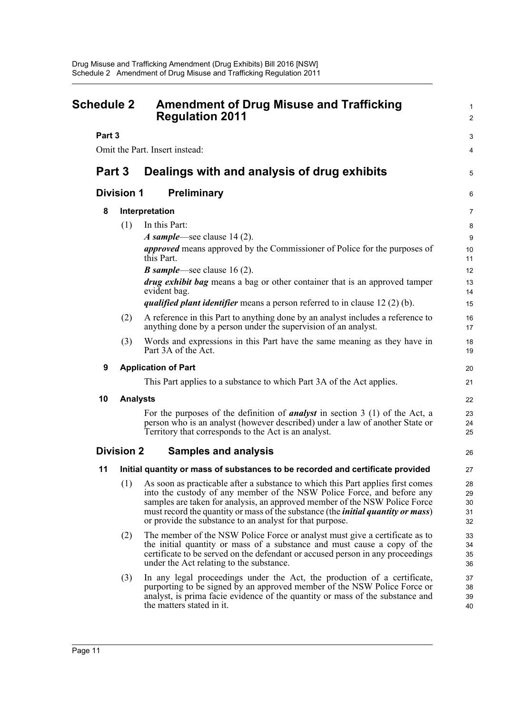<span id="page-15-0"></span>

| <b>Schedule 2</b> |                                                       | <b>Amendment of Drug Misuse and Trafficking</b><br><b>Regulation 2011</b>                                                                                                                                                                                                                                                                                                                       |                            |  |
|-------------------|-------------------------------------------------------|-------------------------------------------------------------------------------------------------------------------------------------------------------------------------------------------------------------------------------------------------------------------------------------------------------------------------------------------------------------------------------------------------|----------------------------|--|
| Part 3            |                                                       |                                                                                                                                                                                                                                                                                                                                                                                                 | 3                          |  |
|                   |                                                       | Omit the Part. Insert instead:                                                                                                                                                                                                                                                                                                                                                                  | 4                          |  |
|                   | Part 3<br>Dealings with and analysis of drug exhibits |                                                                                                                                                                                                                                                                                                                                                                                                 | 5                          |  |
|                   | <b>Division 1</b>                                     | <b>Preliminary</b>                                                                                                                                                                                                                                                                                                                                                                              | 6                          |  |
| 8                 |                                                       | Interpretation                                                                                                                                                                                                                                                                                                                                                                                  | $\overline{7}$             |  |
|                   | (1)                                                   | In this Part:                                                                                                                                                                                                                                                                                                                                                                                   | 8                          |  |
|                   |                                                       | A sample—see clause 14 (2).                                                                                                                                                                                                                                                                                                                                                                     | $\boldsymbol{9}$           |  |
|                   |                                                       | <i>approved</i> means approved by the Commissioner of Police for the purposes of<br>this Part.                                                                                                                                                                                                                                                                                                  | 10<br>11                   |  |
|                   |                                                       | <b>B</b> sample—see clause 16 (2).                                                                                                                                                                                                                                                                                                                                                              | 12                         |  |
|                   |                                                       | <i>drug exhibit bag</i> means a bag or other container that is an approved tamper<br>evident bag.                                                                                                                                                                                                                                                                                               | 13<br>14                   |  |
|                   |                                                       | <i>qualified plant identifier</i> means a person referred to in clause $12(2)(b)$ .                                                                                                                                                                                                                                                                                                             | 15                         |  |
|                   | (2)                                                   | A reference in this Part to anything done by an analyst includes a reference to<br>anything done by a person under the supervision of an analyst.                                                                                                                                                                                                                                               | 16<br>17                   |  |
|                   | (3)                                                   | Words and expressions in this Part have the same meaning as they have in<br>Part 3A of the Act.                                                                                                                                                                                                                                                                                                 | 18<br>19                   |  |
| 9                 |                                                       | <b>Application of Part</b>                                                                                                                                                                                                                                                                                                                                                                      | 20                         |  |
|                   |                                                       | This Part applies to a substance to which Part 3A of the Act applies.                                                                                                                                                                                                                                                                                                                           | 21                         |  |
| 10                | <b>Analysts</b>                                       |                                                                                                                                                                                                                                                                                                                                                                                                 | 22                         |  |
|                   |                                                       | For the purposes of the definition of <b>analyst</b> in section 3 (1) of the Act, a<br>person who is an analyst (however described) under a law of another State or<br>Territory that corresponds to the Act is an analyst.                                                                                                                                                                     | 23<br>24<br>25             |  |
|                   | <b>Division 2</b>                                     | <b>Samples and analysis</b>                                                                                                                                                                                                                                                                                                                                                                     | 26                         |  |
| 11                |                                                       | Initial quantity or mass of substances to be recorded and certificate provided                                                                                                                                                                                                                                                                                                                  | 27                         |  |
|                   | (1)                                                   | As soon as practicable after a substance to which this Part applies first comes<br>into the custody of any member of the NSW Police Force, and before any<br>samples are taken for analysis, an approved member of the NSW Police Force<br>must record the quantity or mass of the substance (the <i>initial quantity or mass</i> )<br>or provide the substance to an analyst for that purpose. | 28<br>29<br>30<br>31<br>32 |  |
|                   | (2)                                                   | The member of the NSW Police Force or analyst must give a certificate as to<br>the initial quantity or mass of a substance and must cause a copy of the<br>certificate to be served on the defendant or accused person in any proceedings<br>under the Act relating to the substance.                                                                                                           | 33<br>34<br>35<br>36       |  |
|                   | (3)                                                   | In any legal proceedings under the Act, the production of a certificate,<br>purporting to be signed by an approved member of the NSW Police Force or<br>analyst, is prima facie evidence of the quantity or mass of the substance and<br>the matters stated in it.                                                                                                                              | 37<br>38<br>39<br>40       |  |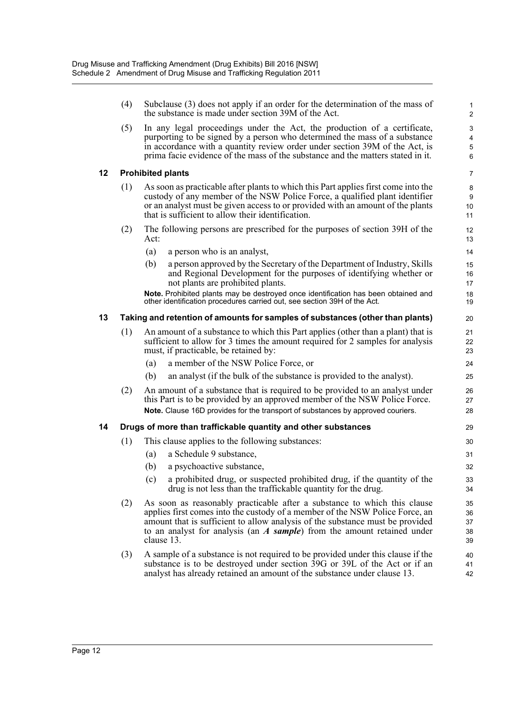(4) Subclause (3) does not apply if an order for the determination of the mass of the substance is made under section 39M of the Act.

(5) In any legal proceedings under the Act, the production of a certificate, purporting to be signed by a person who determined the mass of a substance in accordance with a quantity review order under section 39M of the Act, is prima facie evidence of the mass of the substance and the matters stated in it.

#### **12 Prohibited plants**

- (1) As soon as practicable after plants to which this Part applies first come into the custody of any member of the NSW Police Force, a qualified plant identifier or an analyst must be given access to or provided with an amount of the plants that is sufficient to allow their identification.
- (2) The following persons are prescribed for the purposes of section 39H of the Act:
	- (a) a person who is an analyst,
	- (b) a person approved by the Secretary of the Department of Industry, Skills and Regional Development for the purposes of identifying whether or not plants are prohibited plants.

**Note.** Prohibited plants may be destroyed once identification has been obtained and other identification procedures carried out, see section 39H of the Act.

## **13 Taking and retention of amounts for samples of substances (other than plants)**

- (1) An amount of a substance to which this Part applies (other than a plant) that is sufficient to allow for 3 times the amount required for 2 samples for analysis must, if practicable, be retained by:
	- (a) a member of the NSW Police Force, or
	- (b) an analyst (if the bulk of the substance is provided to the analyst).
- (2) An amount of a substance that is required to be provided to an analyst under this Part is to be provided by an approved member of the NSW Police Force. **Note.** Clause 16D provides for the transport of substances by approved couriers.

#### **14 Drugs of more than traffickable quantity and other substances**

- (1) This clause applies to the following substances:
	- (a) a Schedule 9 substance,
	- (b) a psychoactive substance,
	- (c) a prohibited drug, or suspected prohibited drug, if the quantity of the drug is not less than the traffickable quantity for the drug.
- (2) As soon as reasonably practicable after a substance to which this clause applies first comes into the custody of a member of the NSW Police Force, an amount that is sufficient to allow analysis of the substance must be provided to an analyst for analysis (an *A sample*) from the amount retained under clause 13.
- (3) A sample of a substance is not required to be provided under this clause if the substance is to be destroyed under section 39G or 39L of the Act or if an analyst has already retained an amount of the substance under clause 13.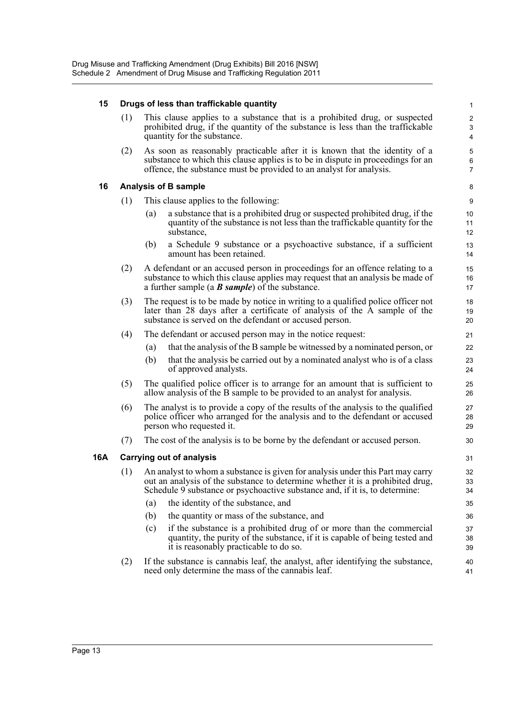## **15 Drugs of less than traffickable quantity**

(1) This clause applies to a substance that is a prohibited drug, or suspected prohibited drug, if the quantity of the substance is less than the traffickable quantity for the substance.

(2) As soon as reasonably practicable after it is known that the identity of a substance to which this clause applies is to be in dispute in proceedings for an offence, the substance must be provided to an analyst for analysis.

## **16 Analysis of B sample**

- (1) This clause applies to the following:
	- (a) a substance that is a prohibited drug or suspected prohibited drug, if the quantity of the substance is not less than the traffickable quantity for the substance,
	- (b) a Schedule 9 substance or a psychoactive substance, if a sufficient amount has been retained.
- (2) A defendant or an accused person in proceedings for an offence relating to a substance to which this clause applies may request that an analysis be made of a further sample (a *B sample*) of the substance.
- (3) The request is to be made by notice in writing to a qualified police officer not later than 28 days after a certificate of analysis of the A sample of the substance is served on the defendant or accused person.
- (4) The defendant or accused person may in the notice request:
	- (a) that the analysis of the B sample be witnessed by a nominated person, or
	- (b) that the analysis be carried out by a nominated analyst who is of a class of approved analysts.
- (5) The qualified police officer is to arrange for an amount that is sufficient to allow analysis of the B sample to be provided to an analyst for analysis.
- (6) The analyst is to provide a copy of the results of the analysis to the qualified police officer who arranged for the analysis and to the defendant or accused person who requested it.
- (7) The cost of the analysis is to be borne by the defendant or accused person.

## **16A Carrying out of analysis**

- (1) An analyst to whom a substance is given for analysis under this Part may carry out an analysis of the substance to determine whether it is a prohibited drug, Schedule 9 substance or psychoactive substance and, if it is, to determine:
	- (a) the identity of the substance, and
	- (b) the quantity or mass of the substance, and
	- (c) if the substance is a prohibited drug of or more than the commercial quantity, the purity of the substance, if it is capable of being tested and it is reasonably practicable to do so.
- (2) If the substance is cannabis leaf, the analyst, after identifying the substance, need only determine the mass of the cannabis leaf.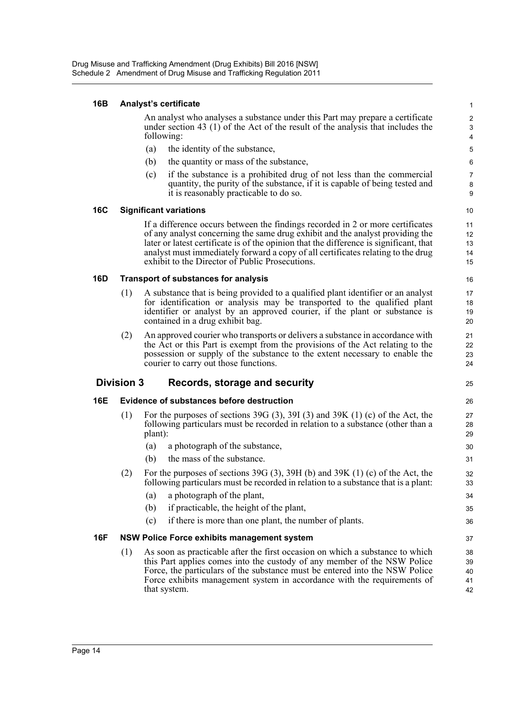#### **16B Analyst's certificate**

An analyst who analyses a substance under this Part may prepare a certificate under section 43 (1) of the Act of the result of the analysis that includes the following:

25

- (a) the identity of the substance,
- (b) the quantity or mass of the substance,
- (c) if the substance is a prohibited drug of not less than the commercial quantity, the purity of the substance, if it is capable of being tested and it is reasonably practicable to do so.

#### **16C Significant variations**

If a difference occurs between the findings recorded in 2 or more certificates of any analyst concerning the same drug exhibit and the analyst providing the later or latest certificate is of the opinion that the difference is significant, that analyst must immediately forward a copy of all certificates relating to the drug exhibit to the Director of Public Prosecutions.

## **16D Transport of substances for analysis**

- (1) A substance that is being provided to a qualified plant identifier or an analyst for identification or analysis may be transported to the qualified plant identifier or analyst by an approved courier, if the plant or substance is contained in a drug exhibit bag.
- (2) An approved courier who transports or delivers a substance in accordance with the Act or this Part is exempt from the provisions of the Act relating to the possession or supply of the substance to the extent necessary to enable the courier to carry out those functions.

## **Division 3 Records, storage and security**

## **16E Evidence of substances before destruction**

- (1) For the purposes of sections 39G (3), 39I (3) and 39K (1) (c) of the Act, the following particulars must be recorded in relation to a substance (other than a plant):
	- (a) a photograph of the substance,
	- (b) the mass of the substance.
- (2) For the purposes of sections 39G (3), 39H (b) and 39K (1) (c) of the Act, the following particulars must be recorded in relation to a substance that is a plant:
	- (a) a photograph of the plant,
	- (b) if practicable, the height of the plant,
	- (c) if there is more than one plant, the number of plants.

## **16F NSW Police Force exhibits management system**

(1) As soon as practicable after the first occasion on which a substance to which this Part applies comes into the custody of any member of the NSW Police Force, the particulars of the substance must be entered into the NSW Police Force exhibits management system in accordance with the requirements of that system.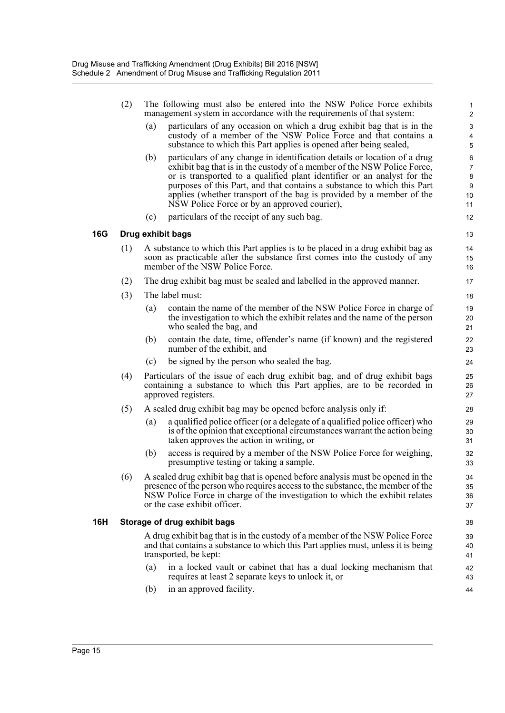|            | (2) |     | The following must also be entered into the NSW Police Force exhibits<br>management system in accordance with the requirements of that system:                                                                                                                                                                                                                                                                                     | $\mathbf{1}$<br>$\overline{\mathbf{c}}$       |
|------------|-----|-----|------------------------------------------------------------------------------------------------------------------------------------------------------------------------------------------------------------------------------------------------------------------------------------------------------------------------------------------------------------------------------------------------------------------------------------|-----------------------------------------------|
|            |     | (a) | particulars of any occasion on which a drug exhibit bag that is in the<br>custody of a member of the NSW Police Force and that contains a<br>substance to which this Part applies is opened after being sealed,                                                                                                                                                                                                                    | 3<br>$\overline{\mathbf{4}}$<br>5             |
|            |     | (b) | particulars of any change in identification details or location of a drug<br>exhibit bag that is in the custody of a member of the NSW Police Force,<br>or is transported to a qualified plant identifier or an analyst for the<br>purposes of this Part, and that contains a substance to which this Part<br>applies (whether transport of the bag is provided by a member of the<br>NSW Police Force or by an approved courier), | $\,6$<br>$\overline{7}$<br>8<br>9<br>10<br>11 |
|            |     | (c) | particulars of the receipt of any such bag.                                                                                                                                                                                                                                                                                                                                                                                        | 12                                            |
| <b>16G</b> |     |     | Drug exhibit bags                                                                                                                                                                                                                                                                                                                                                                                                                  | 13                                            |
|            | (1) |     | A substance to which this Part applies is to be placed in a drug exhibit bag as<br>soon as practicable after the substance first comes into the custody of any<br>member of the NSW Police Force.                                                                                                                                                                                                                                  | 14<br>15<br>16                                |
|            | (2) |     | The drug exhibit bag must be sealed and labelled in the approved manner.                                                                                                                                                                                                                                                                                                                                                           | 17                                            |
|            | (3) |     | The label must:                                                                                                                                                                                                                                                                                                                                                                                                                    | 18                                            |
|            |     | (a) | contain the name of the member of the NSW Police Force in charge of<br>the investigation to which the exhibit relates and the name of the person<br>who sealed the bag, and                                                                                                                                                                                                                                                        | 19<br>20<br>21                                |
|            |     | (b) | contain the date, time, offender's name (if known) and the registered<br>number of the exhibit, and                                                                                                                                                                                                                                                                                                                                | 22<br>23                                      |
|            |     | (c) | be signed by the person who sealed the bag.                                                                                                                                                                                                                                                                                                                                                                                        | 24                                            |
|            | (4) |     | Particulars of the issue of each drug exhibit bag, and of drug exhibit bags<br>containing a substance to which this Part applies, are to be recorded in<br>approved registers.                                                                                                                                                                                                                                                     | 25<br>26<br>27                                |
|            | (5) |     | A sealed drug exhibit bag may be opened before analysis only if:                                                                                                                                                                                                                                                                                                                                                                   | 28                                            |
|            |     | (a) | a qualified police officer (or a delegate of a qualified police officer) who<br>is of the opinion that exceptional circumstances warrant the action being<br>taken approves the action in writing, or                                                                                                                                                                                                                              | 29<br>30<br>31                                |
|            |     | (b) | access is required by a member of the NSW Police Force for weighing,<br>presumptive testing or taking a sample.                                                                                                                                                                                                                                                                                                                    | 32<br>33                                      |
|            | (6) |     | A sealed drug exhibit bag that is opened before analysis must be opened in the<br>presence of the person who requires access to the substance, the member of the<br>NSW Police Force in charge of the investigation to which the exhibit relates<br>or the case exhibit officer.                                                                                                                                                   | 34<br>35<br>36<br>37                          |
| 16H        |     |     | Storage of drug exhibit bags                                                                                                                                                                                                                                                                                                                                                                                                       | 38                                            |
|            |     |     | A drug exhibit bag that is in the custody of a member of the NSW Police Force<br>and that contains a substance to which this Part applies must, unless it is being<br>transported, be kept:                                                                                                                                                                                                                                        | 39<br>40<br>41                                |
|            |     | (a) | in a locked vault or cabinet that has a dual locking mechanism that<br>requires at least 2 separate keys to unlock it, or                                                                                                                                                                                                                                                                                                          | 42<br>43                                      |
|            |     | (b) | in an approved facility.                                                                                                                                                                                                                                                                                                                                                                                                           | 44                                            |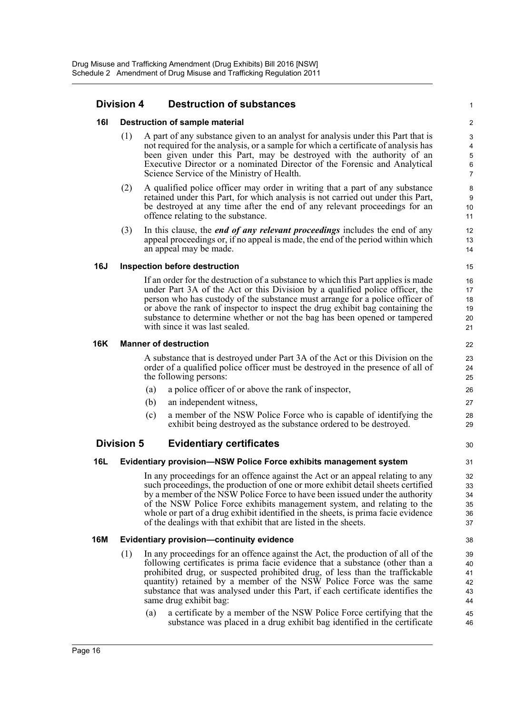## **Division 4 Destruction of substances**

#### **16I Destruction of sample material**

(1) A part of any substance given to an analyst for analysis under this Part that is not required for the analysis, or a sample for which a certificate of analysis has been given under this Part, may be destroyed with the authority of an Executive Director or a nominated Director of the Forensic and Analytical Science Service of the Ministry of Health.

1

30

- (2) A qualified police officer may order in writing that a part of any substance retained under this Part, for which analysis is not carried out under this Part, be destroyed at any time after the end of any relevant proceedings for an offence relating to the substance.
- (3) In this clause, the *end of any relevant proceedings* includes the end of any appeal proceedings or, if no appeal is made, the end of the period within which an appeal may be made.

#### **16J Inspection before destruction**

If an order for the destruction of a substance to which this Part applies is made under Part 3A of the Act or this Division by a qualified police officer, the person who has custody of the substance must arrange for a police officer of or above the rank of inspector to inspect the drug exhibit bag containing the substance to determine whether or not the bag has been opened or tampered with since it was last sealed.

#### **16K Manner of destruction**

A substance that is destroyed under Part 3A of the Act or this Division on the order of a qualified police officer must be destroyed in the presence of all of the following persons:

- (a) a police officer of or above the rank of inspector,
- (b) an independent witness,
- (c) a member of the NSW Police Force who is capable of identifying the exhibit being destroyed as the substance ordered to be destroyed.

## **Division 5 Evidentiary certificates**

## **16L Evidentiary provision—NSW Police Force exhibits management system**

In any proceedings for an offence against the Act or an appeal relating to any such proceedings, the production of one or more exhibit detail sheets certified by a member of the NSW Police Force to have been issued under the authority of the NSW Police Force exhibits management system, and relating to the whole or part of a drug exhibit identified in the sheets, is prima facie evidence of the dealings with that exhibit that are listed in the sheets.

#### **16M Evidentiary provision—continuity evidence**

- (1) In any proceedings for an offence against the Act, the production of all of the following certificates is prima facie evidence that a substance (other than a prohibited drug, or suspected prohibited drug, of less than the traffickable quantity) retained by a member of the NSW Police Force was the same substance that was analysed under this Part, if each certificate identifies the same drug exhibit bag:
	- (a) a certificate by a member of the NSW Police Force certifying that the substance was placed in a drug exhibit bag identified in the certificate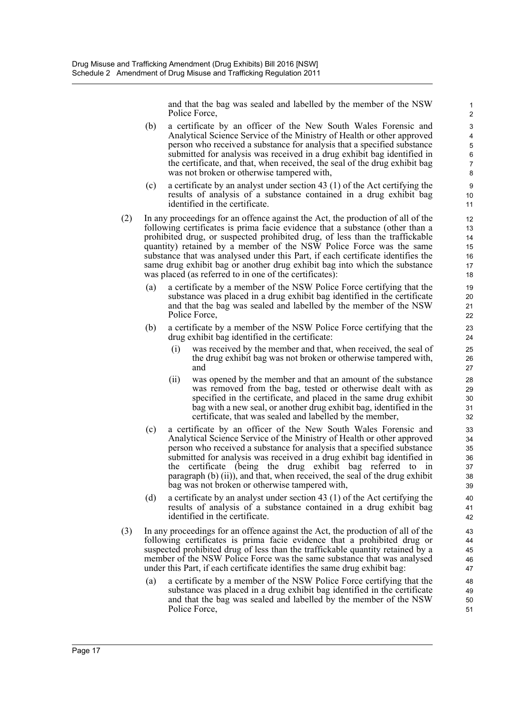and that the bag was sealed and labelled by the member of the NSW Police Force,

- (b) a certificate by an officer of the New South Wales Forensic and Analytical Science Service of the Ministry of Health or other approved person who received a substance for analysis that a specified substance submitted for analysis was received in a drug exhibit bag identified in the certificate, and that, when received, the seal of the drug exhibit bag was not broken or otherwise tampered with,
- (c) a certificate by an analyst under section 43 (1) of the Act certifying the results of analysis of a substance contained in a drug exhibit bag identified in the certificate.
- (2) In any proceedings for an offence against the Act, the production of all of the following certificates is prima facie evidence that a substance (other than a prohibited drug, or suspected prohibited drug, of less than the traffickable quantity) retained by a member of the NSW Police Force was the same substance that was analysed under this Part, if each certificate identifies the same drug exhibit bag or another drug exhibit bag into which the substance was placed (as referred to in one of the certificates):
	- (a) a certificate by a member of the NSW Police Force certifying that the substance was placed in a drug exhibit bag identified in the certificate and that the bag was sealed and labelled by the member of the NSW Police Force,
	- (b) a certificate by a member of the NSW Police Force certifying that the drug exhibit bag identified in the certificate:
		- was received by the member and that, when received, the seal of the drug exhibit bag was not broken or otherwise tampered with, and
		- (ii) was opened by the member and that an amount of the substance was removed from the bag, tested or otherwise dealt with as specified in the certificate, and placed in the same drug exhibit bag with a new seal, or another drug exhibit bag, identified in the certificate, that was sealed and labelled by the member,
	- (c) a certificate by an officer of the New South Wales Forensic and Analytical Science Service of the Ministry of Health or other approved person who received a substance for analysis that a specified substance submitted for analysis was received in a drug exhibit bag identified in the certificate (being the drug exhibit bag referred to in paragraph (b) (ii)), and that, when received, the seal of the drug exhibit bag was not broken or otherwise tampered with,
	- (d) a certificate by an analyst under section 43 (1) of the Act certifying the results of analysis of a substance contained in a drug exhibit bag identified in the certificate.
- (3) In any proceedings for an offence against the Act, the production of all of the following certificates is prima facie evidence that a prohibited drug or suspected prohibited drug of less than the traffickable quantity retained by a member of the NSW Police Force was the same substance that was analysed under this Part, if each certificate identifies the same drug exhibit bag:
	- a certificate by a member of the NSW Police Force certifying that the substance was placed in a drug exhibit bag identified in the certificate and that the bag was sealed and labelled by the member of the NSW Police Force,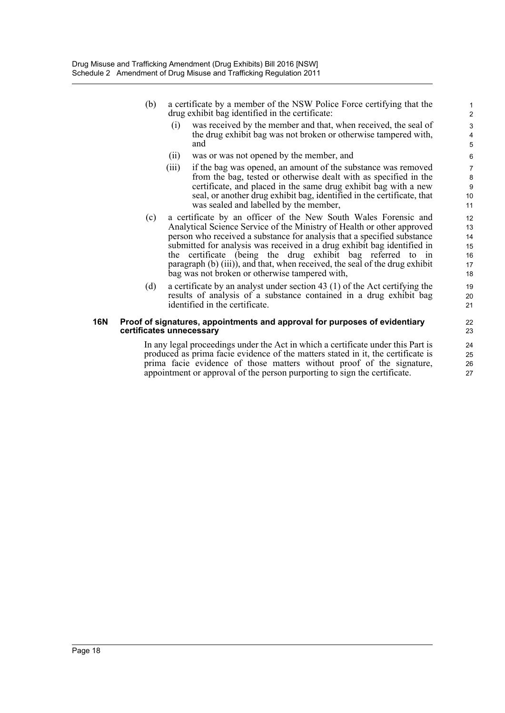- (b) a certificate by a member of the NSW Police Force certifying that the drug exhibit bag identified in the certificate:
	- (i) was received by the member and that, when received, the seal of the drug exhibit bag was not broken or otherwise tampered with, and

- (ii) was or was not opened by the member, and
- (iii) if the bag was opened, an amount of the substance was removed from the bag, tested or otherwise dealt with as specified in the certificate, and placed in the same drug exhibit bag with a new seal, or another drug exhibit bag, identified in the certificate, that was sealed and labelled by the member,
- (c) a certificate by an officer of the New South Wales Forensic and Analytical Science Service of the Ministry of Health or other approved person who received a substance for analysis that a specified substance submitted for analysis was received in a drug exhibit bag identified in the certificate (being the drug exhibit bag referred to in paragraph (b) (iii)), and that, when received, the seal of the drug exhibit bag was not broken or otherwise tampered with,
- (d) a certificate by an analyst under section 43 (1) of the Act certifying the results of analysis of a substance contained in a drug exhibit bag identified in the certificate.

#### **16N Proof of signatures, appointments and approval for purposes of evidentiary certificates unnecessary**

In any legal proceedings under the Act in which a certificate under this Part is produced as prima facie evidence of the matters stated in it, the certificate is prima facie evidence of those matters without proof of the signature, appointment or approval of the person purporting to sign the certificate.